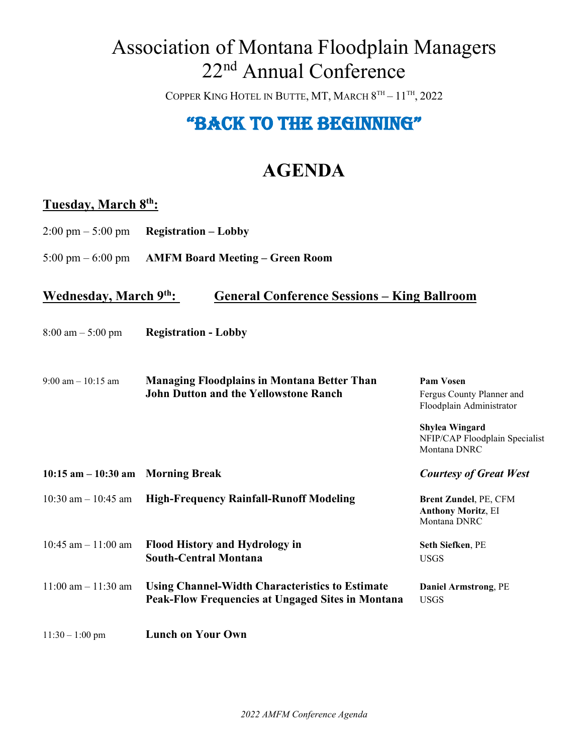# Association of Montana Floodplain Managers 22nd Annual Conference

COPPER KING HOTEL IN BUTTE, MT, MARCH  $8^{TH} - 11^{TH}$ , 2022

## "Back to the beginning"

# **AGENDA**

#### **Tuesday, March 8th:**

- 2:00 pm 5:00 pm **Registration – Lobby**
- 5:00 pm 6:00 pm **AMFM Board Meeting – Green Room**

#### **Wednesday, March 9th: General Conference Sessions – King Ballroom**

- 8:00 am 5:00 pm **Registration - Lobby**
- 9:00 am 10:15 am **Managing Floodplains in Montana Better Than Pam Vosen John Dutton and the Yellowstone Ranch** Fergus County Planner and

Floodplain Administrator

**Shylea Wingard** NFIP/CAP Floodplain Specialist Montana DNRC

- **10:15 am – 10:30 am Morning Break** *Courtesy of Great West* 10:30 am – 10:45 am **High-Frequency Rainfall-Runoff Modeling Brent Zundel**, PE, CFM **Anthony Moritz**, EI Montana DNRC 10:45 am – 11:00 am **Flood History and Hydrology in Seth Siefken**, PE **South-Central Montana** USGS 11:00 am – 11:30 am **Using Channel-Width Characteristics to Estimate Daniel Armstrong**, PE **Peak-Flow Frequencies at Ungaged Sites in Montana** USGS
- 11:30 1:00 pm **Lunch on Your Own**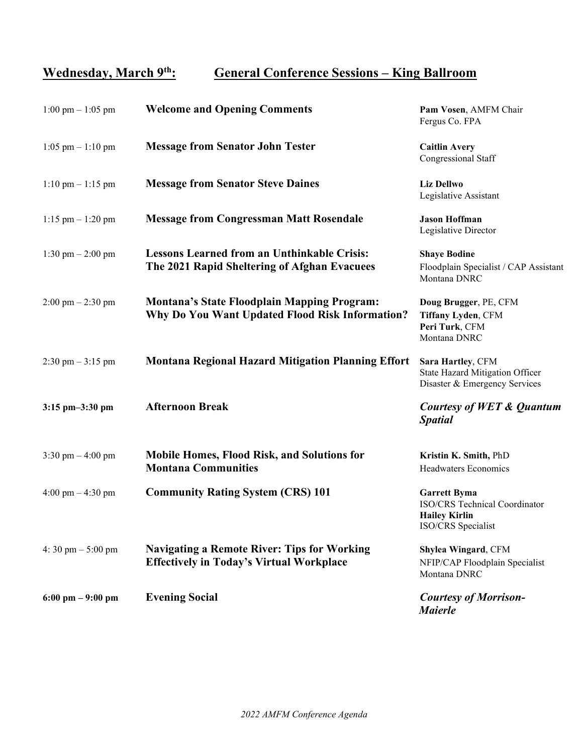### **Wednesday, March 9th: General Conference Sessions – King Ballroom**

| $1:00 \text{ pm} - 1:05 \text{ pm}$ | <b>Welcome and Opening Comments</b>                                                                   | Pam Vosen, AMFM Chair<br>Fergus Co. FPA                                                            |
|-------------------------------------|-------------------------------------------------------------------------------------------------------|----------------------------------------------------------------------------------------------------|
| $1:05$ pm $-1:10$ pm                | <b>Message from Senator John Tester</b>                                                               | <b>Caitlin Avery</b><br>Congressional Staff                                                        |
| $1:10 \text{ pm} - 1:15 \text{ pm}$ | <b>Message from Senator Steve Daines</b>                                                              | <b>Liz Dellwo</b><br>Legislative Assistant                                                         |
| $1:15$ pm $- 1:20$ pm               | <b>Message from Congressman Matt Rosendale</b>                                                        | <b>Jason Hoffman</b><br>Legislative Director                                                       |
| 1:30 pm $- 2:00$ pm                 | <b>Lessons Learned from an Unthinkable Crisis:</b><br>The 2021 Rapid Sheltering of Afghan Evacuees    | <b>Shaye Bodine</b><br>Floodplain Specialist / CAP Assistant<br>Montana DNRC                       |
| $2:00 \text{ pm} - 2:30 \text{ pm}$ | <b>Montana's State Floodplain Mapping Program:</b><br>Why Do You Want Updated Flood Risk Information? | Doug Brugger, PE, CFM<br>Tiffany Lyden, CFM<br>Peri Turk, CFM<br>Montana DNRC                      |
| $2:30 \text{ pm} - 3:15 \text{ pm}$ | <b>Montana Regional Hazard Mitigation Planning Effort</b>                                             | Sara Hartley, CFM<br><b>State Hazard Mitigation Officer</b><br>Disaster & Emergency Services       |
| $3:15$ pm $-3:30$ pm                | <b>Afternoon Break</b>                                                                                | Courtesy of WET & Quantum<br><b>Spatial</b>                                                        |
| $3:30 \text{ pm} - 4:00 \text{ pm}$ | <b>Mobile Homes, Flood Risk, and Solutions for</b><br><b>Montana Communities</b>                      | Kristin K. Smith, PhD<br>Headwaters Economics                                                      |
| $4:00 \text{ pm} - 4:30 \text{ pm}$ | <b>Community Rating System (CRS) 101</b>                                                              | <b>Garrett Byma</b><br>ISO/CRS Technical Coordinator<br><b>Hailey Kirlin</b><br>ISO/CRS Specialist |
| 4:30 pm $-5:00$ pm                  | <b>Navigating a Remote River: Tips for Working</b><br><b>Effectively in Today's Virtual Workplace</b> | Shylea Wingard, CFM<br>NFIP/CAP Floodplain Specialist<br>Montana DNRC                              |
| $6:00 \text{ pm} - 9:00 \text{ pm}$ | <b>Evening Social</b>                                                                                 | <b>Courtesy of Morrison-</b><br><b>Maierle</b>                                                     |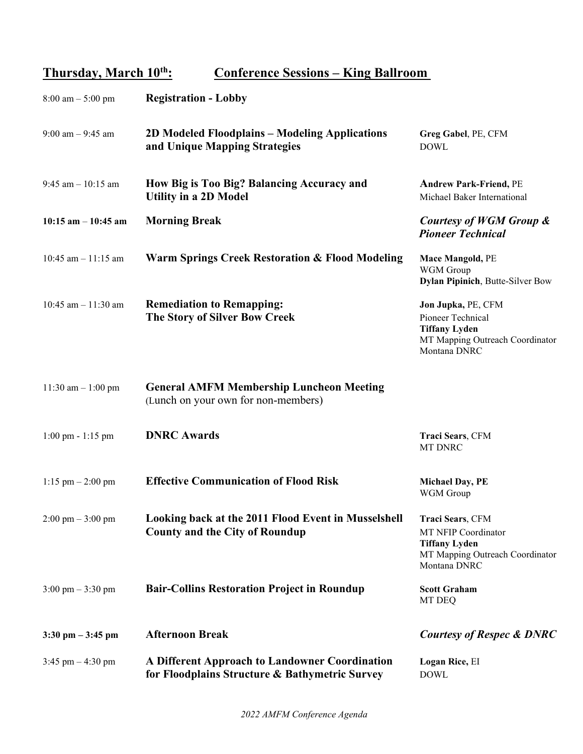### **Thursday, March 10th: Conference Sessions – King Ballroom**

| $8:00 \text{ am} - 5:00 \text{ pm}$ | <b>Registration - Lobby</b>                                                                      |                                                                                                                    |
|-------------------------------------|--------------------------------------------------------------------------------------------------|--------------------------------------------------------------------------------------------------------------------|
| $9:00$ am $-9:45$ am                | 2D Modeled Floodplains – Modeling Applications<br>and Unique Mapping Strategies                  | Greg Gabel, PE, CFM<br><b>DOWL</b>                                                                                 |
| 9:45 am $-10:15$ am                 | How Big is Too Big? Balancing Accuracy and<br><b>Utility in a 2D Model</b>                       | <b>Andrew Park-Friend, PE</b><br>Michael Baker International                                                       |
| 10:15 am $-$ 10:45 am               | <b>Morning Break</b>                                                                             | Courtesy of WGM Group &<br><b>Pioneer Technical</b>                                                                |
| $10:45$ am $-11:15$ am              | <b>Warm Springs Creek Restoration &amp; Flood Modeling</b>                                       | Mace Mangold, PE<br>WGM Group<br>Dylan Pipinich, Butte-Silver Bow                                                  |
| 10:45 am $-$ 11:30 am               | <b>Remediation to Remapping:</b><br>The Story of Silver Bow Creek                                | Jon Jupka, PE, CFM<br>Pioneer Technical<br><b>Tiffany Lyden</b><br>MT Mapping Outreach Coordinator<br>Montana DNRC |
| $11:30$ am $- 1:00$ pm              | <b>General AMFM Membership Luncheon Meeting</b><br>(Lunch on your own for non-members)           |                                                                                                                    |
| $1:00 \text{ pm} - 1:15 \text{ pm}$ | <b>DNRC</b> Awards                                                                               | Traci Sears, CFM<br>MT DNRC                                                                                        |
| $1:15$ pm $- 2:00$ pm               | <b>Effective Communication of Flood Risk</b>                                                     | <b>Michael Day, PE</b><br>WGM Group                                                                                |
| $2:00 \text{ pm} - 3:00 \text{ pm}$ | Looking back at the 2011 Flood Event in Musselshell<br><b>County and the City of Roundup</b>     | Traci Sears, CFM<br>MT NFIP Coordinator<br><b>Tiffany Lyden</b><br>MT Mapping Outreach Coordinator<br>Montana DNRC |
| $3:00 \text{ pm} - 3:30 \text{ pm}$ | <b>Bair-Collins Restoration Project in Roundup</b>                                               | <b>Scott Graham</b><br>MT DEQ                                                                                      |
| $3:30$ pm $-3:45$ pm                | <b>Afternoon Break</b>                                                                           | <b>Courtesy of Respec &amp; DNRC</b>                                                                               |
| 3:45 pm $-4:30$ pm                  | A Different Approach to Landowner Coordination<br>for Floodplains Structure & Bathymetric Survey | Logan Rice, EI<br><b>DOWL</b>                                                                                      |